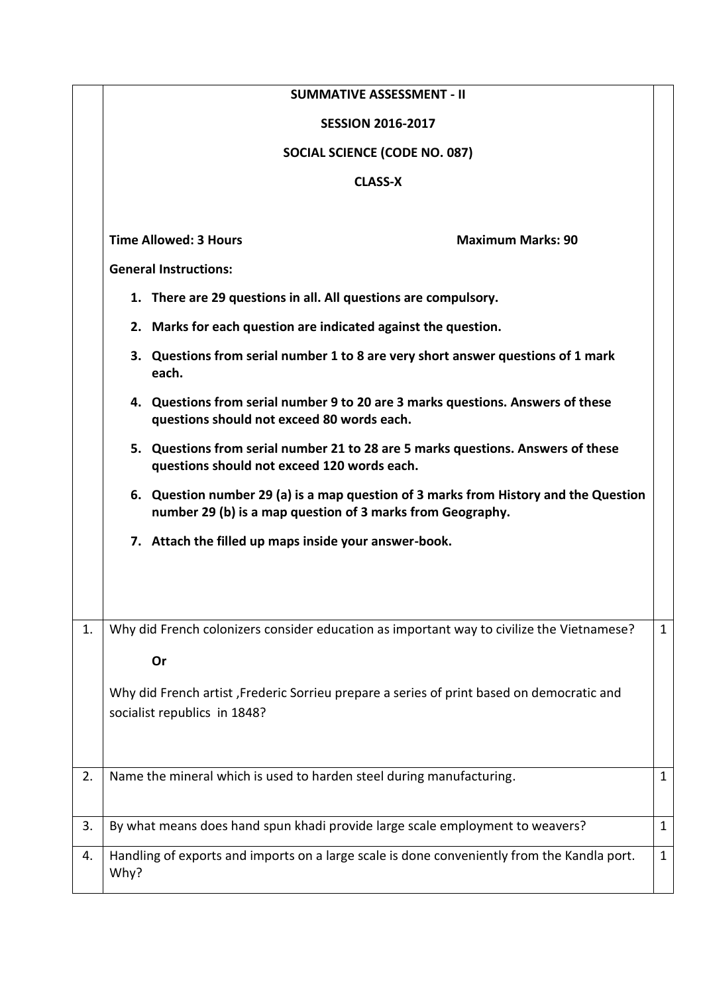|    | <b>SUMMATIVE ASSESSMENT - II</b>                                                                                                                   |              |
|----|----------------------------------------------------------------------------------------------------------------------------------------------------|--------------|
|    | <b>SESSION 2016-2017</b>                                                                                                                           |              |
|    | <b>SOCIAL SCIENCE (CODE NO. 087)</b>                                                                                                               |              |
|    | <b>CLASS-X</b>                                                                                                                                     |              |
|    | <b>Time Allowed: 3 Hours</b><br><b>Maximum Marks: 90</b><br><b>General Instructions:</b>                                                           |              |
|    |                                                                                                                                                    |              |
|    | 1. There are 29 questions in all. All questions are compulsory.                                                                                    |              |
|    | 2. Marks for each question are indicated against the question.                                                                                     |              |
|    | 3. Questions from serial number 1 to 8 are very short answer questions of 1 mark<br>each.                                                          |              |
|    | 4. Questions from serial number 9 to 20 are 3 marks questions. Answers of these<br>questions should not exceed 80 words each.                      |              |
|    | 5. Questions from serial number 21 to 28 are 5 marks questions. Answers of these<br>questions should not exceed 120 words each.                    |              |
|    | 6. Question number 29 (a) is a map question of 3 marks from History and the Question<br>number 29 (b) is a map question of 3 marks from Geography. |              |
|    | 7. Attach the filled up maps inside your answer-book.                                                                                              |              |
|    |                                                                                                                                                    |              |
| 1. | Why did French colonizers consider education as important way to civilize the Vietnamese?                                                          | $\mathbf{1}$ |
|    | Or                                                                                                                                                 |              |
|    | Why did French artist, Frederic Sorrieu prepare a series of print based on democratic and<br>socialist republics in 1848?                          |              |
| 2. | Name the mineral which is used to harden steel during manufacturing.                                                                               | $\mathbf{1}$ |
| 3. | By what means does hand spun khadi provide large scale employment to weavers?                                                                      | $\mathbf{1}$ |
| 4. | Handling of exports and imports on a large scale is done conveniently from the Kandla port.<br>Why?                                                | $\mathbf{1}$ |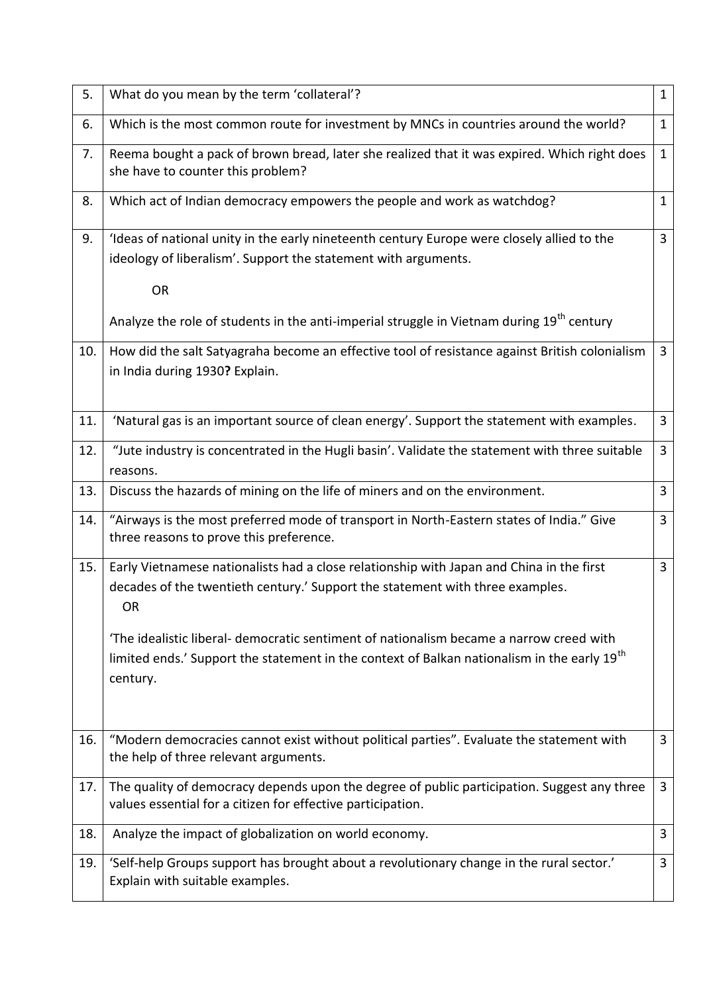| 5.  | What do you mean by the term 'collateral'?                                                                                                                                                                                                                                                                                                                                                              | $\mathbf{1}$   |
|-----|---------------------------------------------------------------------------------------------------------------------------------------------------------------------------------------------------------------------------------------------------------------------------------------------------------------------------------------------------------------------------------------------------------|----------------|
| 6.  | Which is the most common route for investment by MNCs in countries around the world?                                                                                                                                                                                                                                                                                                                    | $\mathbf{1}$   |
| 7.  | Reema bought a pack of brown bread, later she realized that it was expired. Which right does<br>she have to counter this problem?                                                                                                                                                                                                                                                                       | $\mathbf{1}$   |
| 8.  | Which act of Indian democracy empowers the people and work as watchdog?                                                                                                                                                                                                                                                                                                                                 | $\mathbf{1}$   |
| 9.  | I deas of national unity in the early nineteenth century Europe were closely allied to the<br>ideology of liberalism'. Support the statement with arguments.<br><b>OR</b><br>Analyze the role of students in the anti-imperial struggle in Vietnam during 19 <sup>th</sup> century                                                                                                                      | $\mathbf{3}$   |
| 10. | How did the salt Satyagraha become an effective tool of resistance against British colonialism<br>in India during 1930? Explain.                                                                                                                                                                                                                                                                        | $\overline{3}$ |
| 11. | 'Natural gas is an important source of clean energy'. Support the statement with examples.                                                                                                                                                                                                                                                                                                              | $\overline{3}$ |
| 12. | "Jute industry is concentrated in the Hugli basin'. Validate the statement with three suitable<br>reasons.                                                                                                                                                                                                                                                                                              | $\overline{3}$ |
| 13. | Discuss the hazards of mining on the life of miners and on the environment.                                                                                                                                                                                                                                                                                                                             | $\mathbf{3}$   |
| 14. | "Airways is the most preferred mode of transport in North-Eastern states of India." Give<br>three reasons to prove this preference.                                                                                                                                                                                                                                                                     | $\mathbf{3}$   |
| 15. | Early Vietnamese nationalists had a close relationship with Japan and China in the first<br>decades of the twentieth century.' Support the statement with three examples.<br><b>OR</b><br>The idealistic liberal- democratic sentiment of nationalism became a narrow creed with<br>limited ends.' Support the statement in the context of Balkan nationalism in the early 19 <sup>th</sup><br>century. | $\overline{3}$ |
| 16. | "Modern democracies cannot exist without political parties". Evaluate the statement with<br>the help of three relevant arguments.                                                                                                                                                                                                                                                                       | 3              |
| 17. | The quality of democracy depends upon the degree of public participation. Suggest any three<br>values essential for a citizen for effective participation.                                                                                                                                                                                                                                              | 3              |
| 18. | Analyze the impact of globalization on world economy.                                                                                                                                                                                                                                                                                                                                                   | 3              |
| 19. | 'Self-help Groups support has brought about a revolutionary change in the rural sector.'<br>Explain with suitable examples.                                                                                                                                                                                                                                                                             | $\mathbf{3}$   |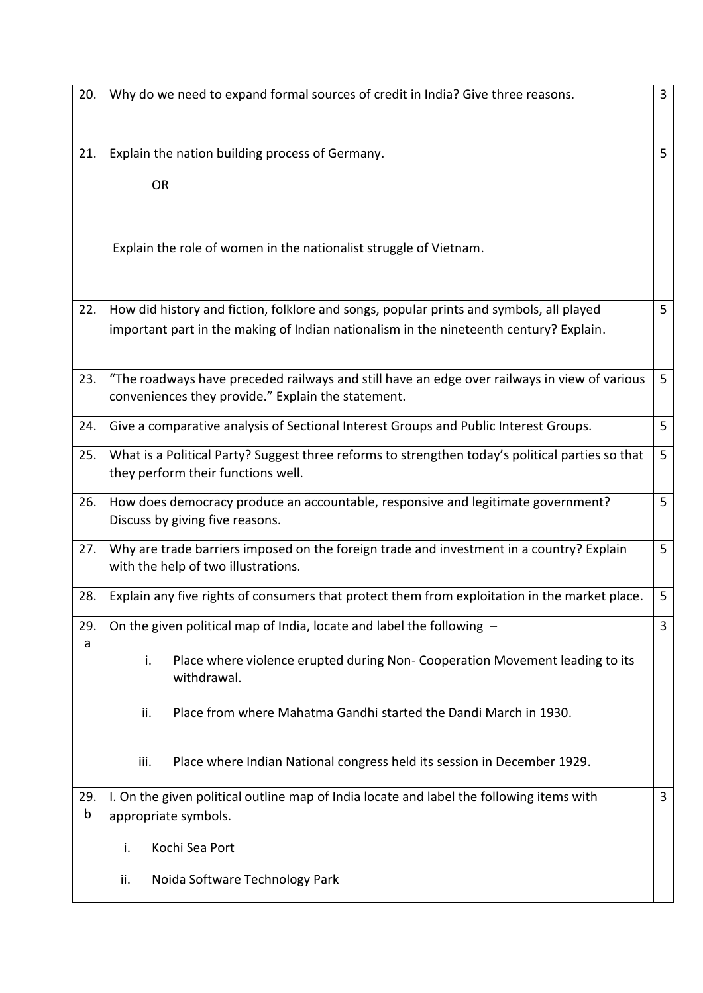| 20.      | Why do we need to expand formal sources of credit in India? Give three reasons.                                                                    | $\mathbf{3}$   |
|----------|----------------------------------------------------------------------------------------------------------------------------------------------------|----------------|
| 21.      | Explain the nation building process of Germany.                                                                                                    | 5 <sup>1</sup> |
|          | <b>OR</b>                                                                                                                                          |                |
|          | Explain the role of women in the nationalist struggle of Vietnam.                                                                                  |                |
| 22.      | How did history and fiction, folklore and songs, popular prints and symbols, all played                                                            | 5              |
|          | important part in the making of Indian nationalism in the nineteenth century? Explain.                                                             |                |
| 23.      | "The roadways have preceded railways and still have an edge over railways in view of various<br>conveniences they provide." Explain the statement. | 5 <sup>5</sup> |
| 24.      | Give a comparative analysis of Sectional Interest Groups and Public Interest Groups.                                                               | 5              |
| 25.      | What is a Political Party? Suggest three reforms to strengthen today's political parties so that<br>they perform their functions well.             | 5              |
| 26.      | How does democracy produce an accountable, responsive and legitimate government?<br>Discuss by giving five reasons.                                | 5              |
| 27.      | Why are trade barriers imposed on the foreign trade and investment in a country? Explain<br>with the help of two illustrations.                    | 5 <sup>5</sup> |
| 28.      | Explain any five rights of consumers that protect them from exploitation in the market place.                                                      | 5              |
| 29.      | On the given political map of India, locate and label the following -                                                                              | 3              |
| a        | i.<br>Place where violence erupted during Non- Cooperation Movement leading to its<br>withdrawal.                                                  |                |
|          | ii.<br>Place from where Mahatma Gandhi started the Dandi March in 1930.                                                                            |                |
|          | iii.<br>Place where Indian National congress held its session in December 1929.                                                                    |                |
| 29.<br>b | I. On the given political outline map of India locate and label the following items with<br>appropriate symbols.                                   | $\overline{3}$ |
|          | Kochi Sea Port<br>i.                                                                                                                               |                |
|          | Noida Software Technology Park<br>ii.                                                                                                              |                |